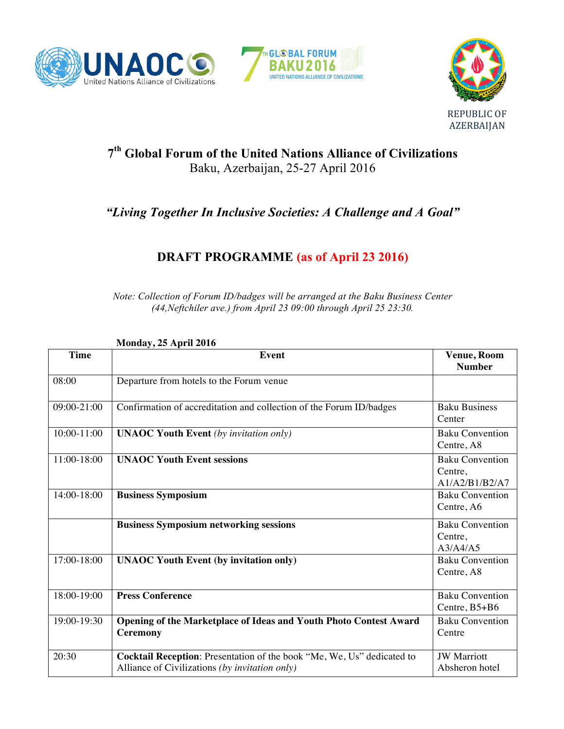





# **7th Global Forum of the United Nations Alliance of Civilizations** Baku, Azerbaijan, 25-27 April 2016

# *"Living Together In Inclusive Societies: A Challenge and A Goal"*

# **DRAFT PROGRAMME (as of April 23 2016)**

*Note: Collection of Forum ID/badges will be arranged at the Baku Business Center (44,Neftchiler ave.) from April 23 09:00 through April 25 23:30.*

**Monday, 25 April 2016 Time Event Venue, Room Number** 08:00 Departure from hotels to the Forum venue 09:00-21:00 Confirmation of accreditation and collection of the Forum ID/badges Baku Business **Center** 10:00-11:00 **UNAOC Youth Event** *(by invitation only)* Baku Convention Centre, A8 11:00-18:00 **UNAOC Youth Event sessions** Baku Convention Centre, A1/A2/B1/B2/A7 14:00-18:00 **Business Symposium** Baku Convention Centre, A6 **Business Symposium networking sessions** and **Baku Convention** Centre, A3/A4/A5 17:00-18:00 **UNAOC Youth Event (by invitation only)** Baku Convention Centre, A8 18:00-19:00 **Press Conference** Baku Convention Centre, B5+B6 19:00-19:30 **Opening of the Marketplace of Ideas and Youth Photo Contest Award Ceremony** Baku Convention **Centre** 20:30 **Cocktail Reception**: Presentation of the book "Me, We, Us" dedicated to Alliance of Civilizations *(by invitation only)* JW Marriott Absheron hotel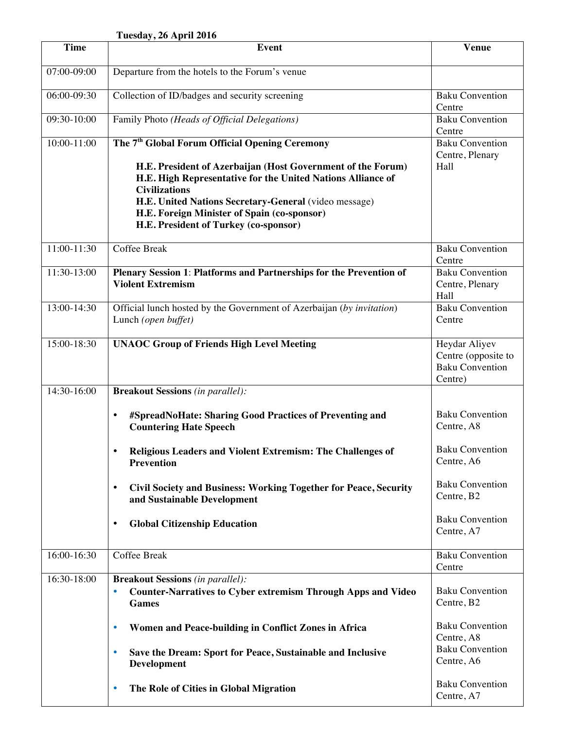#### **Tuesday, 26 April 2016**

| <b>Time</b>   | <b>Event</b>                                                                                                                                                                                                                                                                                                                                                      | <b>Venue</b>                                                              |
|---------------|-------------------------------------------------------------------------------------------------------------------------------------------------------------------------------------------------------------------------------------------------------------------------------------------------------------------------------------------------------------------|---------------------------------------------------------------------------|
| 07:00-09:00   | Departure from the hotels to the Forum's venue                                                                                                                                                                                                                                                                                                                    |                                                                           |
| 06:00-09:30   | Collection of ID/badges and security screening                                                                                                                                                                                                                                                                                                                    | <b>Baku Convention</b><br>Centre                                          |
| 09:30-10:00   | Family Photo (Heads of Official Delegations)                                                                                                                                                                                                                                                                                                                      | <b>Baku Convention</b><br>Centre                                          |
| 10:00-11:00   | The 7 <sup>th</sup> Global Forum Official Opening Ceremony<br>H.E. President of Azerbaijan (Host Government of the Forum)<br>H.E. High Representative for the United Nations Alliance of<br><b>Civilizations</b><br>H.E. United Nations Secretary-General (video message)<br>H.E. Foreign Minister of Spain (co-sponsor)<br>H.E. President of Turkey (co-sponsor) | <b>Baku Convention</b><br>Centre, Plenary<br>Hall                         |
| 11:00-11:30   | Coffee Break                                                                                                                                                                                                                                                                                                                                                      | <b>Baku Convention</b><br>Centre                                          |
| $11:30-13:00$ | Plenary Session 1: Platforms and Partnerships for the Prevention of<br><b>Violent Extremism</b>                                                                                                                                                                                                                                                                   | <b>Baku Convention</b><br>Centre, Plenary<br>Hall                         |
| 13:00-14:30   | Official lunch hosted by the Government of Azerbaijan (by invitation)<br>Lunch (open buffet)                                                                                                                                                                                                                                                                      | Baku Convention<br>Centre                                                 |
| 15:00-18:30   | <b>UNAOC Group of Friends High Level Meeting</b>                                                                                                                                                                                                                                                                                                                  | Heydar Aliyev<br>Centre (opposite to<br><b>Baku Convention</b><br>Centre) |
| 14:30-16:00   | <b>Breakout Sessions</b> (in parallel):                                                                                                                                                                                                                                                                                                                           |                                                                           |
|               | #SpreadNoHate: Sharing Good Practices of Preventing and<br>$\bullet$<br><b>Countering Hate Speech</b>                                                                                                                                                                                                                                                             | <b>Baku Convention</b><br>Centre, A8                                      |
|               | Religious Leaders and Violent Extremism: The Challenges of<br><b>Prevention</b>                                                                                                                                                                                                                                                                                   | <b>Baku Convention</b><br>Centre, A6                                      |
|               | Civil Society and Business: Working Together for Peace, Security<br>$\bullet$<br>and Sustainable Development                                                                                                                                                                                                                                                      | <b>Baku Convention</b><br>Centre, B2                                      |
|               | <b>Global Citizenship Education</b><br>$\bullet$                                                                                                                                                                                                                                                                                                                  | <b>Baku Convention</b><br>Centre, A7                                      |
| 16:00-16:30   | Coffee Break                                                                                                                                                                                                                                                                                                                                                      | <b>Baku Convention</b><br>Centre                                          |
| 16:30-18:00   | <b>Breakout Sessions</b> (in parallel):<br><b>Counter-Narratives to Cyber extremism Through Apps and Video</b><br>۰<br><b>Games</b>                                                                                                                                                                                                                               | <b>Baku Convention</b><br>Centre, B2                                      |
|               | Women and Peace-building in Conflict Zones in Africa<br>٠                                                                                                                                                                                                                                                                                                         | <b>Baku Convention</b><br>Centre, A8                                      |
|               | Save the Dream: Sport for Peace, Sustainable and Inclusive<br>$\bullet$<br>Development                                                                                                                                                                                                                                                                            | <b>Baku Convention</b><br>Centre, A6                                      |
|               | The Role of Cities in Global Migration<br>۰                                                                                                                                                                                                                                                                                                                       | <b>Baku Convention</b><br>Centre, A7                                      |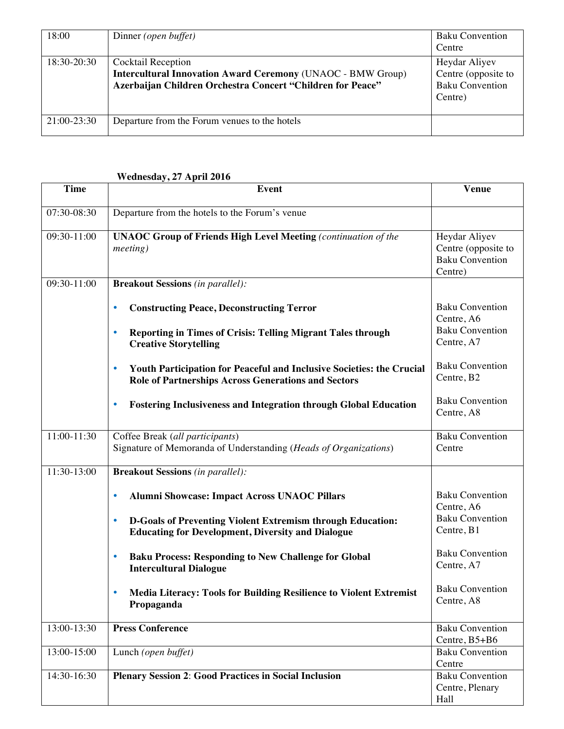| 18:00       | Dinner (open buffet)                                                                                                                                   | <b>Baku Convention</b><br>Centre                                          |
|-------------|--------------------------------------------------------------------------------------------------------------------------------------------------------|---------------------------------------------------------------------------|
| 18:30-20:30 | Cocktail Reception<br><b>Intercultural Innovation Award Ceremony (UNAOC - BMW Group)</b><br>Azerbaijan Children Orchestra Concert "Children for Peace" | Heydar Aliyev<br>Centre (opposite to<br><b>Baku Convention</b><br>Centre) |
| 21:00-23:30 | Departure from the Forum venues to the hotels                                                                                                          |                                                                           |

#### **Wednesday, 27 April 2016**

| <b>Time</b> | <b>Event</b>                                                                                                                                     | <b>Venue</b>                                                              |
|-------------|--------------------------------------------------------------------------------------------------------------------------------------------------|---------------------------------------------------------------------------|
| 07:30-08:30 | Departure from the hotels to the Forum's venue                                                                                                   |                                                                           |
| 09:30-11:00 | <b>UNAOC Group of Friends High Level Meeting (continuation of the</b><br><i>meeting</i> )                                                        | Heydar Aliyev<br>Centre (opposite to<br><b>Baku Convention</b><br>Centre) |
| 09:30-11:00 | <b>Breakout Sessions</b> (in parallel):                                                                                                          |                                                                           |
|             | <b>Constructing Peace, Deconstructing Terror</b><br>۰                                                                                            | <b>Baku Convention</b><br>Centre, A6                                      |
|             | <b>Reporting in Times of Crisis: Telling Migrant Tales through</b><br>$\bullet$<br><b>Creative Storytelling</b>                                  | <b>Baku Convention</b><br>Centre, A7                                      |
|             | Youth Participation for Peaceful and Inclusive Societies: the Crucial<br>$\bullet$<br><b>Role of Partnerships Across Generations and Sectors</b> | <b>Baku Convention</b><br>Centre, B2                                      |
|             | <b>Fostering Inclusiveness and Integration through Global Education</b><br>$\bullet$                                                             | <b>Baku Convention</b><br>Centre, A8                                      |
| 11:00-11:30 | Coffee Break (all participants)<br>Signature of Memoranda of Understanding (Heads of Organizations)                                              | <b>Baku Convention</b><br>Centre                                          |
| 11:30-13:00 | <b>Breakout Sessions</b> (in parallel):                                                                                                          |                                                                           |
|             | Alumni Showcase: Impact Across UNAOC Pillars<br>۰                                                                                                | <b>Baku Convention</b><br>Centre, A6                                      |
|             | D-Goals of Preventing Violent Extremism through Education:<br>$\bullet$<br><b>Educating for Development, Diversity and Dialogue</b>              | <b>Baku Convention</b><br>Centre, B1                                      |
|             | <b>Baku Process: Responding to New Challenge for Global</b><br>۰<br><b>Intercultural Dialogue</b>                                                | <b>Baku Convention</b><br>Centre, A7                                      |
|             | <b>Media Literacy: Tools for Building Resilience to Violent Extremist</b><br>Propaganda                                                          | <b>Baku Convention</b><br>Centre, A8                                      |
| 13:00-13:30 | <b>Press Conference</b>                                                                                                                          | <b>Baku Convention</b><br>Centre, B5+B6                                   |
| 13:00-15:00 | Lunch (open buffet)                                                                                                                              | <b>Baku Convention</b><br>Centre                                          |
| 14:30-16:30 | <b>Plenary Session 2: Good Practices in Social Inclusion</b>                                                                                     | <b>Baku Convention</b><br>Centre, Plenary<br>Hall                         |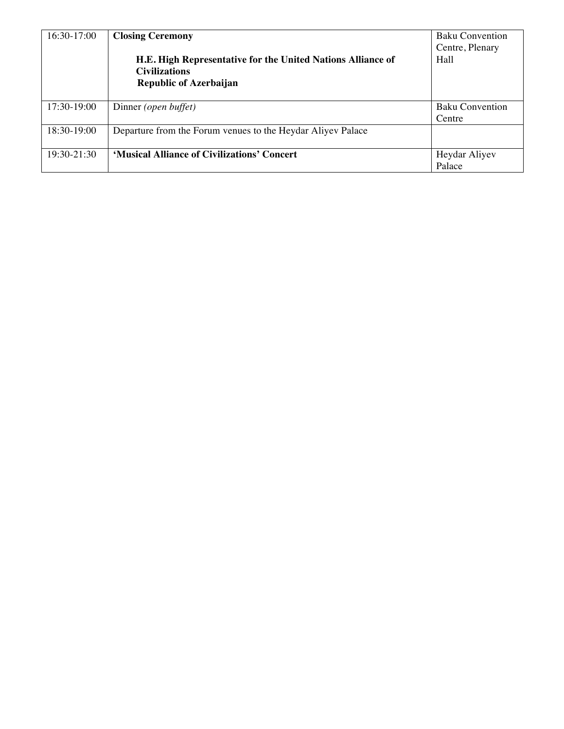| 16:30-17:00 | <b>Closing Ceremony</b><br>H.E. High Representative for the United Nations Alliance of<br><b>Civilizations</b><br><b>Republic of Azerbaijan</b> | <b>Baku Convention</b><br>Centre, Plenary<br>Hall |
|-------------|-------------------------------------------------------------------------------------------------------------------------------------------------|---------------------------------------------------|
| 17:30-19:00 | Dinner (open buffet)                                                                                                                            | <b>Baku Convention</b><br>Centre                  |
| 18:30-19:00 | Departure from the Forum venues to the Heydar Aliyev Palace                                                                                     |                                                   |
| 19:30-21:30 | 'Musical Alliance of Civilizations' Concert                                                                                                     | Heydar Aliyev<br>Palace                           |